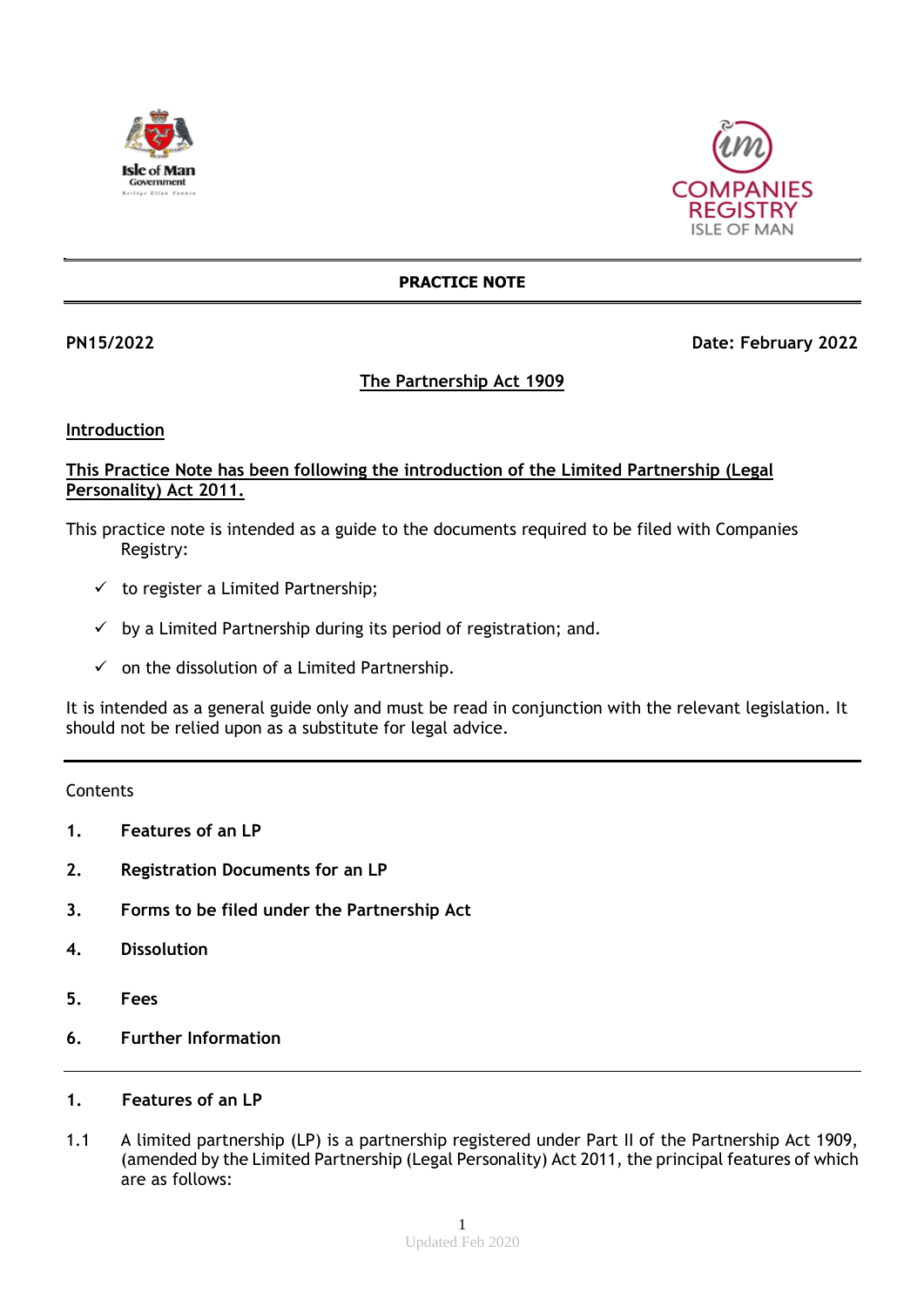



## **PRACTICE NOTE**

## **PN15/2022 Date: February 2022**

# **The Partnership Act 1909**

#### **Introduction**

## **This Practice Note has been following the introduction of the Limited Partnership (Legal Personality) Act 2011.**

- This practice note is intended as a guide to the documents required to be filed with Companies Registry:
	- $\checkmark$  to register a Limited Partnership;
	- $\checkmark$  by a Limited Partnership during its period of registration; and.
	- $\checkmark$  on the dissolution of a Limited Partnership.

It is intended as a general guide only and must be read in conjunction with the relevant legislation. It should not be relied upon as a substitute for legal advice.

#### **Contents**

- **1. Features of an LP**
- **2. Registration Documents for an LP**
- **3. Forms to be filed under the Partnership Act**
- **4. Dissolution**
- **5. Fees**
- **6. Further Information**

## **1. Features of an LP**

1.1 A limited partnership (LP) is a partnership registered under Part II of the Partnership Act 1909, (amended by the Limited Partnership (Legal Personality) Act 2011, the principal features of which are as follows: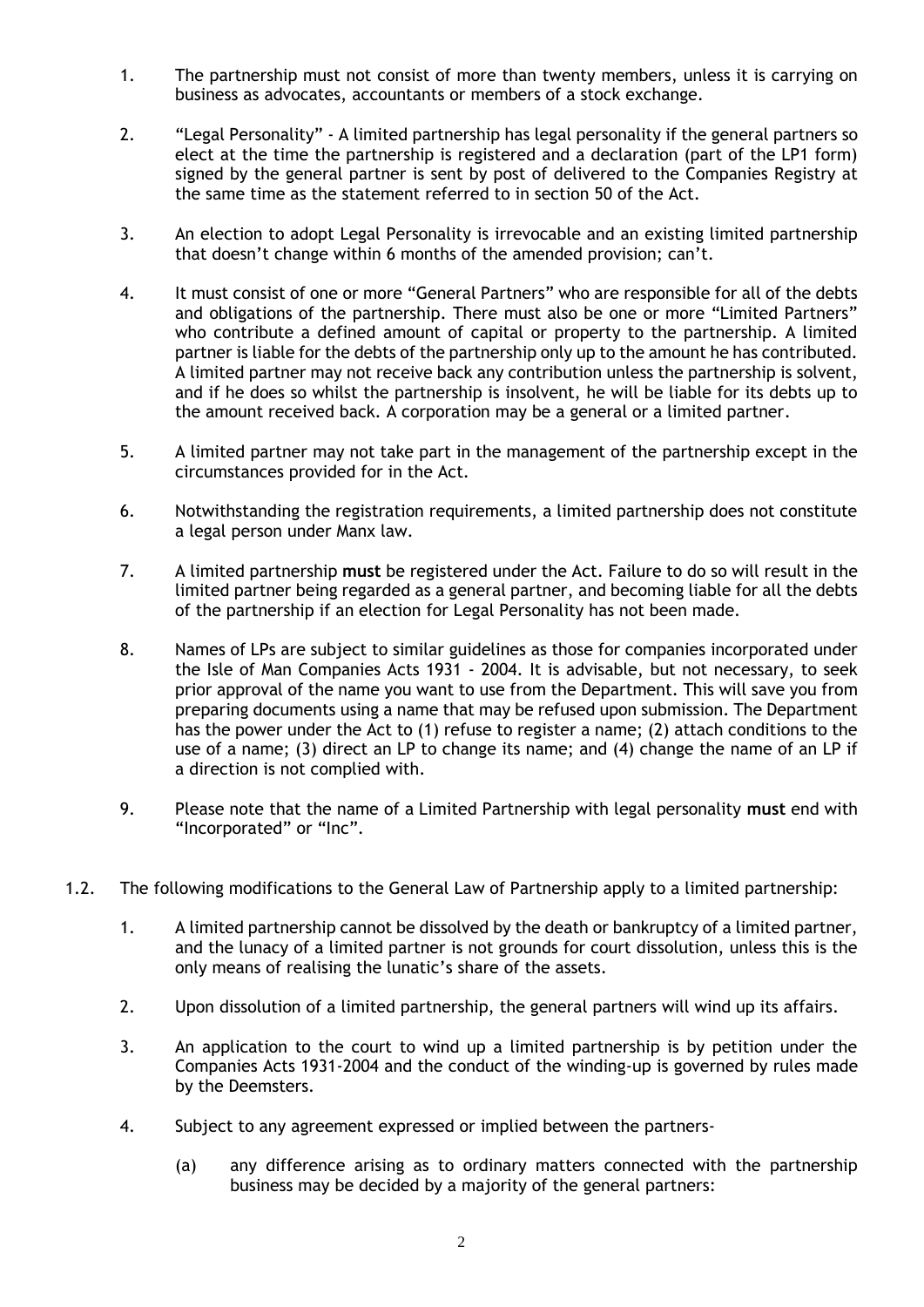- 1. The partnership must not consist of more than twenty members, unless it is carrying on business as advocates, accountants or members of a stock exchange.
- 2. "Legal Personality" A limited partnership has legal personality if the general partners so elect at the time the partnership is registered and a declaration (part of the LP1 form) signed by the general partner is sent by post of delivered to the Companies Registry at the same time as the statement referred to in section 50 of the Act.
- 3. An election to adopt Legal Personality is irrevocable and an existing limited partnership that doesn't change within 6 months of the amended provision; can't.
- 4. It must consist of one or more "General Partners" who are responsible for all of the debts and obligations of the partnership. There must also be one or more "Limited Partners" who contribute a defined amount of capital or property to the partnership. A limited partner is liable for the debts of the partnership only up to the amount he has contributed. A limited partner may not receive back any contribution unless the partnership is solvent, and if he does so whilst the partnership is insolvent, he will be liable for its debts up to the amount received back. A corporation may be a general or a limited partner.
- 5. A limited partner may not take part in the management of the partnership except in the circumstances provided for in the Act.
- 6. Notwithstanding the registration requirements, a limited partnership does not constitute a legal person under Manx law.
- 7. A limited partnership **must** be registered under the Act. Failure to do so will result in the limited partner being regarded as a general partner, and becoming liable for all the debts of the partnership if an election for Legal Personality has not been made.
- 8. Names of LPs are subject to similar guidelines as those for companies incorporated under the Isle of Man Companies Acts 1931 - 2004. It is advisable, but not necessary, to seek prior approval of the name you want to use from the Department. This will save you from preparing documents using a name that may be refused upon submission. The Department has the power under the Act to (1) refuse to register a name; (2) attach conditions to the use of a name; (3) direct an LP to change its name; and (4) change the name of an LP if a direction is not complied with.
- 9. Please note that the name of a Limited Partnership with legal personality **must** end with "Incorporated" or "Inc".
- 1.2. The following modifications to the General Law of Partnership apply to a limited partnership:
	- 1. A limited partnership cannot be dissolved by the death or bankruptcy of a limited partner, and the lunacy of a limited partner is not grounds for court dissolution, unless this is the only means of realising the lunatic's share of the assets.
	- 2. Upon dissolution of a limited partnership, the general partners will wind up its affairs.
	- 3. An application to the court to wind up a limited partnership is by petition under the Companies Acts 1931-2004 and the conduct of the winding-up is governed by rules made by the Deemsters.
	- 4. Subject to any agreement expressed or implied between the partners-
		- (a) any difference arising as to ordinary matters connected with the partnership business may be decided by a majority of the general partners: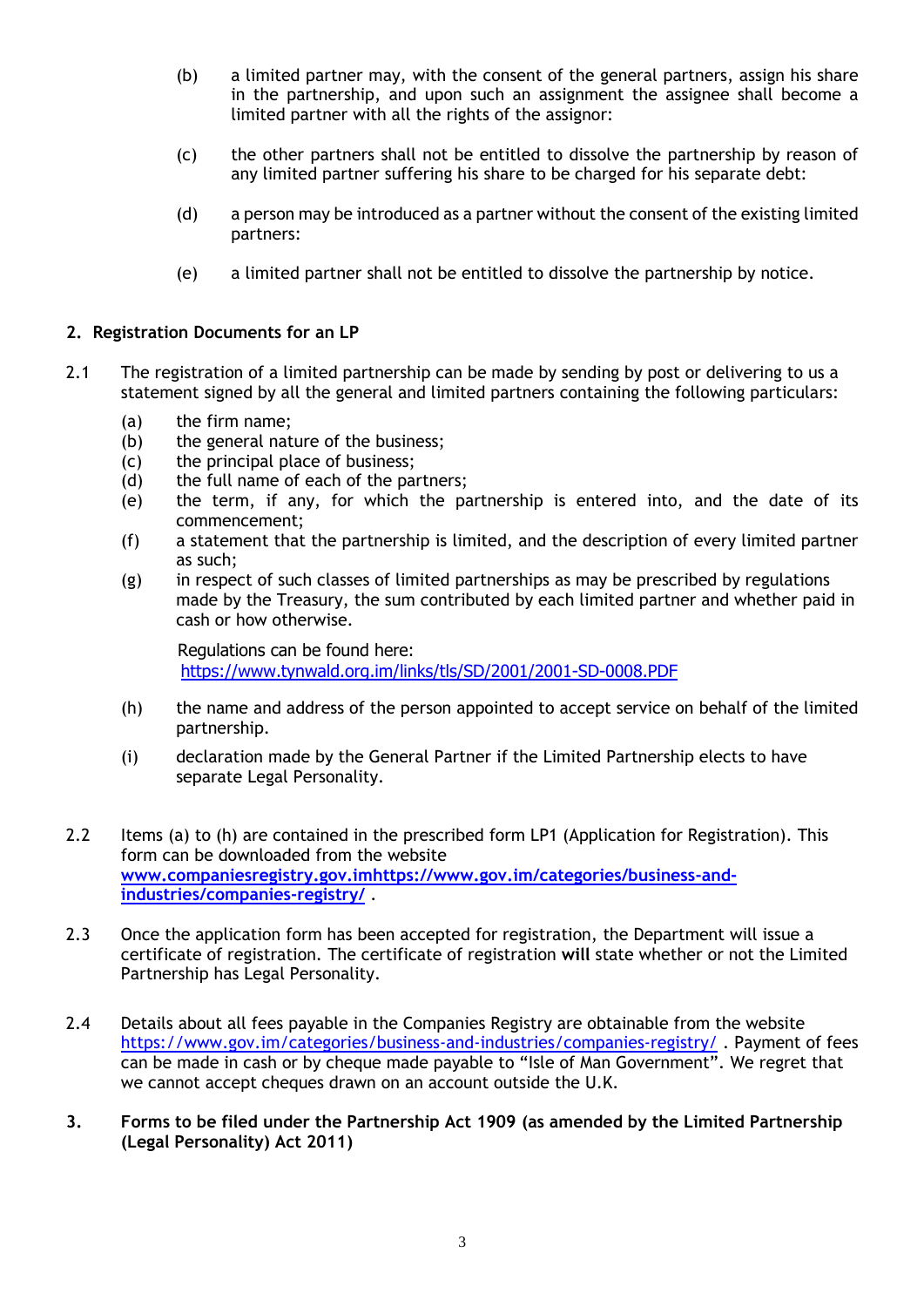- (b) a limited partner may, with the consent of the general partners, assign his share in the partnership, and upon such an assignment the assignee shall become a limited partner with all the rights of the assignor:
- (c) the other partners shall not be entitled to dissolve the partnership by reason of any limited partner suffering his share to be charged for his separate debt:
- (d) a person may be introduced as a partner without the consent of the existing limited partners:
- (e) a limited partner shall not be entitled to dissolve the partnership by notice.

# **2. Registration Documents for an LP**

- 2.1 The registration of a limited partnership can be made by sending by post or delivering to us a statement signed by all the general and limited partners containing the following particulars:
	- (a) the firm name;
	- (b) the general nature of the business;
	- (c) the principal place of business;
	- (d) the full name of each of the partners;
	- (e) the term, if any, for which the partnership is entered into, and the date of its commencement;
	- (f) a statement that the partnership is limited, and the description of every limited partner as such;
	- (g) in respect of such classes of limited partnerships as may be prescribed by regulations made by the Treasury, the sum contributed by each limited partner and whether paid in cash or how otherwise.

Regulations can be found here: <https://www.tynwald.org.im/links/tls/SD/2001/2001-SD-0008.PDF>

- (h) the name and address of the person appointed to accept service on behalf of the limited partnership.
- (i) declaration made by the General Partner if the Limited Partnership elects to have separate Legal Personality.
- 2.2 Items (a) to (h) are contained in the prescribed form LP1 (Application for Registration). This form can be downloaded from the website **[www.companiesregistry.gov.imh](http://www.companiesregistry.gov.im/)ttps://www.gov.im/categories/business-andindustries/companies-registry/** .
- 2.3 Once the application form has been accepted for registration, the Department will issue a certificate of registration. The certificate of registration **will** state whether or not the Limited Partnership has Legal Personality.
- 2.4 Details about all fees payable in the Companies Registry are obtainable from the website <https://www.gov.im/categories/business-and-industries/companies-registry/> . Payment of fees can be made in cash or by cheque made payable to "Isle of Man Government". We regret that we cannot accept cheques drawn on an account outside the U.K.
- **3. Forms to be filed under the Partnership Act 1909 (as amended by the Limited Partnership (Legal Personality) Act 2011)**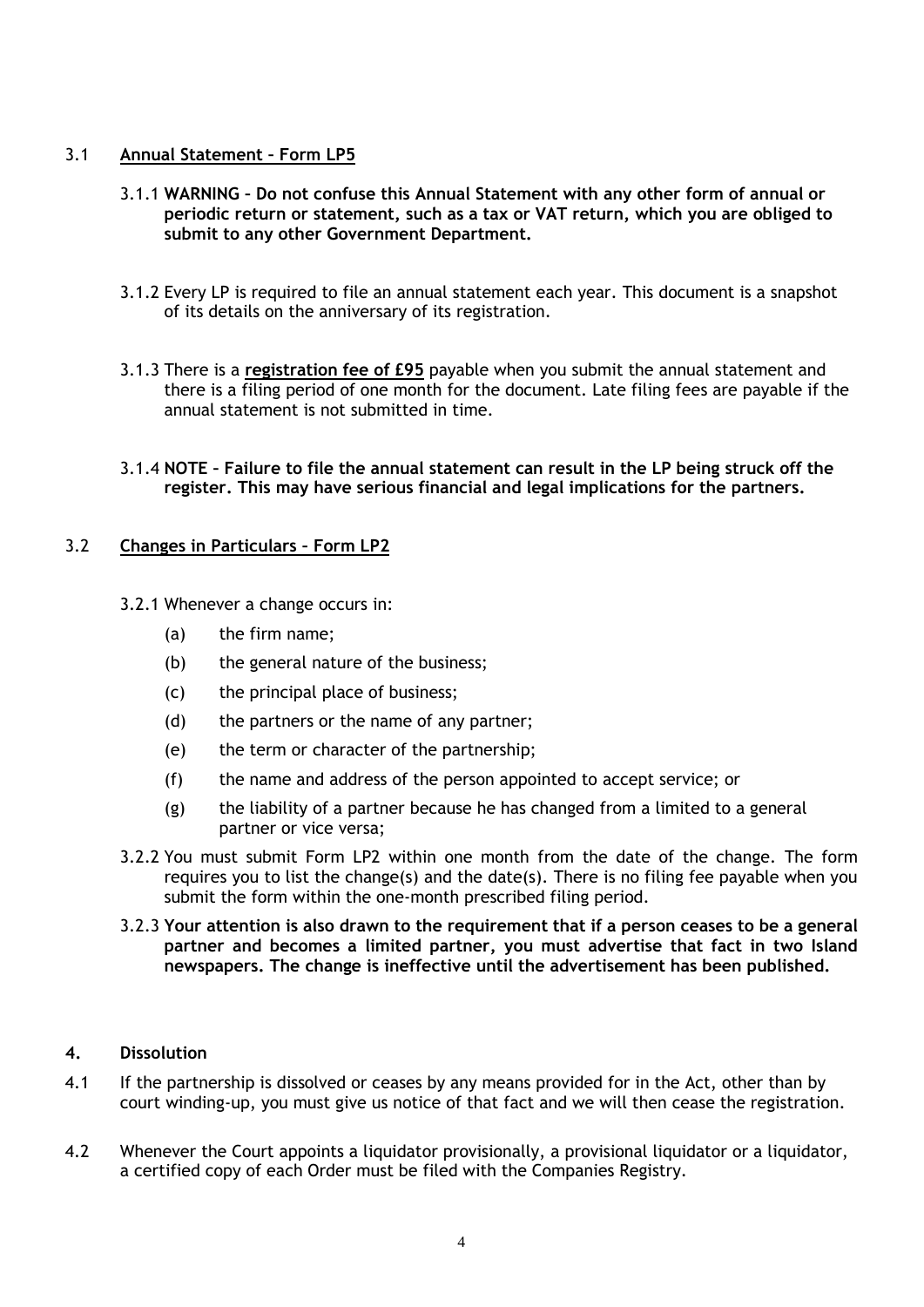# 3.1 **Annual Statement – Form LP5**

- 3.1.1 **WARNING – Do not confuse this Annual Statement with any other form of annual or periodic return or statement, such as a tax or VAT return, which you are obliged to submit to any other Government Department.**
- 3.1.2 Every LP is required to file an annual statement each year. This document is a snapshot of its details on the anniversary of its registration.
- 3.1.3 There is a **registration fee of £95** payable when you submit the annual statement and there is a filing period of one month for the document. Late filing fees are payable if the annual statement is not submitted in time.
- 3.1.4 **NOTE – Failure to file the annual statement can result in the LP being struck off the register. This may have serious financial and legal implications for the partners.**

# 3.2 **Changes in Particulars – Form LP2**

- 3.2.1 Whenever a change occurs in:
	- (a) the firm name;
	- (b) the general nature of the business;
	- (c) the principal place of business;
	- (d) the partners or the name of any partner;
	- (e) the term or character of the partnership;
	- (f) the name and address of the person appointed to accept service; or
	- (g) the liability of a partner because he has changed from a limited to a general partner or vice versa;
- 3.2.2 You must submit Form LP2 within one month from the date of the change. The form requires you to list the change(s) and the date(s). There is no filing fee payable when you submit the form within the one-month prescribed filing period.
- 3.2.3 **Your attention is also drawn to the requirement that if a person ceases to be a general partner and becomes a limited partner, you must advertise that fact in two Island newspapers. The change is ineffective until the advertisement has been published.**

# **4. Dissolution**

- 4.1 If the partnership is dissolved or ceases by any means provided for in the Act, other than by court winding-up, you must give us notice of that fact and we will then cease the registration.
- 4.2 Whenever the Court appoints a liquidator provisionally, a provisional liquidator or a liquidator, a certified copy of each Order must be filed with the Companies Registry.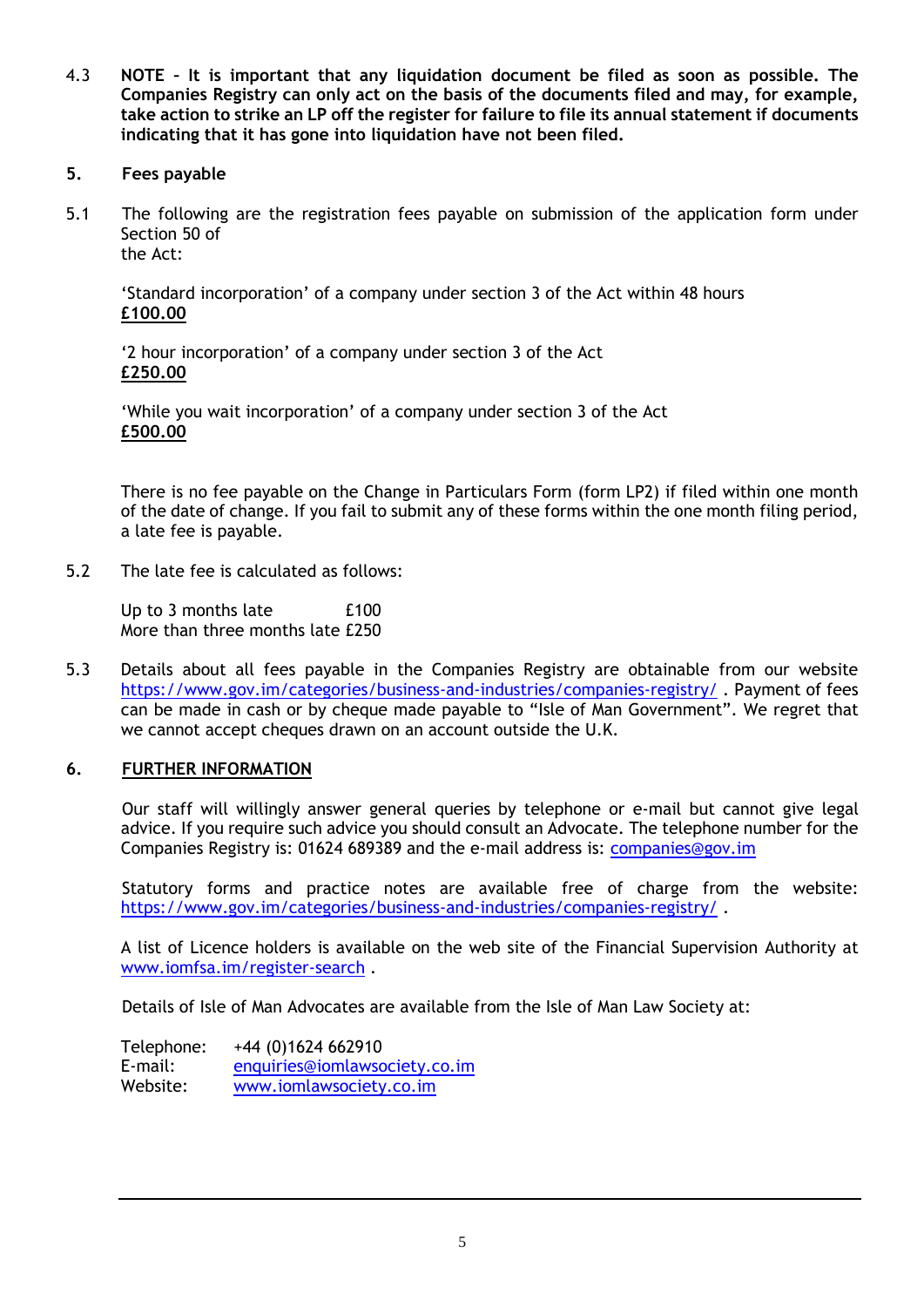4.3 **NOTE – It is important that any liquidation document be filed as soon as possible. The Companies Registry can only act on the basis of the documents filed and may, for example, take action to strike an LP off the register for failure to file its annual statement if documents indicating that it has gone into liquidation have not been filed.**

# **5. Fees payable**

5.1 The following are the registration fees payable on submission of the application form under Section 50 of the Act:

'Standard incorporation' of a company under section 3 of the Act within 48 hours **£100.00**

'2 hour incorporation' of a company under section 3 of the Act **£250.00**

'While you wait incorporation' of a company under section 3 of the Act **£500.00**

There is no fee payable on the Change in Particulars Form (form LP2) if filed within one month of the date of change. If you fail to submit any of these forms within the one month filing period, a late fee is payable.

5.2 The late fee is calculated as follows:

Up to 3 months late E100 More than three months late £250

5.3 Details about all fees payable in the Companies Registry are obtainable from our website <https://www.gov.im/categories/business-and-industries/companies-registry/> . Payment of fees can be made in cash or by cheque made payable to "Isle of Man Government". We regret that we cannot accept cheques drawn on an account outside the U.K.

## **6. FURTHER INFORMATION**

Our staff will willingly answer general queries by telephone or e-mail but cannot give legal advice. If you require such advice you should consult an Advocate. The telephone number for the Companies Registry is: 01624 689389 and the e-mail address is: [companies@gov.im](mailto:companies.registry@gov.im)

Statutory forms and practice notes are available free of charge from the website: <https://www.gov.im/categories/business-and-industries/companies-registry/> .

A list of Licence holders is available on the web site of the Financial Supervision Authority at [www.iomfsa.im/register-search](http://www.iomfsa.im/register-search) .

Details of Isle of Man Advocates are available from the Isle of Man Law Society at:

Telephone: +44 (0)1624 662910 E-mail: [enquiries@iomlawsociety.co.im](mailto:enquiries@iomlawsociety.co.im) Website: [www.iomlawsociety.co.im](http://www.iomlawsociety.co.im/)